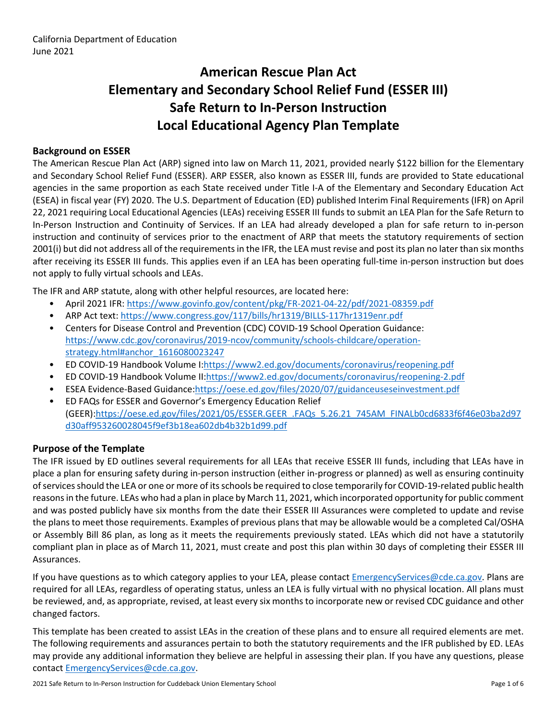# **American Rescue Plan Act Elementary and Secondary School Relief Fund (ESSER III) Safe Return to In-Person Instruction Local Educational Agency Plan Template**

### **Background on ESSER**

The American Rescue Plan Act (ARP) signed into law on March 11, 2021, provided nearly \$122 billion for the Elementary and Secondary School Relief Fund (ESSER). ARP ESSER, also known as ESSER III, funds are provided to State educational agencies in the same proportion as each State received under Title I-A of the Elementary and Secondary Education Act (ESEA) in fiscal year (FY) 2020. The U.S. Department of Education (ED) published Interim Final Requirements (IFR) on April 22, 2021 requiring Local Educational Agencies (LEAs) receiving ESSER III funds to submit an LEA Plan for the Safe Return to In-Person Instruction and Continuity of Services. If an LEA had already developed a plan for safe return to in-person instruction and continuity of services prior to the enactment of ARP that meets the statutory requirements of section 2001(i) but did not address all of the requirements in the IFR, the LEA must revise and post its plan no later than six months after receiving its ESSER III funds. This applies even if an LEA has been operating full-time in-person instruction but does not apply to fully virtual schools and LEAs.

The IFR and ARP statute, along with other helpful resources, are located here:

- April 2021 IFR: <https://www.govinfo.gov/content/pkg/FR-2021-04-22/pdf/2021-08359.pdf>
- ARP Act text: <https://www.congress.gov/117/bills/hr1319/BILLS-117hr1319enr.pdf>
- Centers for Disease Control and Prevention (CDC) COVID-19 School Operation Guidance: [https://www.cdc.gov/coronavirus/2019-ncov/community/schools-childcare/operation](https://www.cdc.gov/coronavirus/2019-ncov/community/schools-childcare/operation-strategy.html#anchor_1616080023247)[strategy.html#anchor\\_1616080023247](https://www.cdc.gov/coronavirus/2019-ncov/community/schools-childcare/operation-strategy.html#anchor_1616080023247)
- ED COVID-19 Handbook Volume I:[https://www2.ed.gov/documents/coronavirus/reopening.pdf](https://www2.ed.gov/documents/coronavirus/reopening.pdf%20)
- ED COVID-19 Handbook Volume II:<https://www2.ed.gov/documents/coronavirus/reopening-2.pdf>
- ESEA Evidence-Based Guidance[:https://oese.ed.gov/files/2020/07/guidanceuseseinvestment.pdf](https://oese.ed.gov/files/2020/07/guidanceuseseinvestment.pdf)
- ED FAQs for ESSER and Governor's Emergency Education Relief (GEER)[:https://oese.ed.gov/files/2021/05/ESSER.GEER\\_.FAQs\\_5.26.21\\_745AM\\_FINALb0cd6833f6f46e03ba2d97](https://oese.ed.gov/files/2021/05/ESSER.GEER_.FAQs_5.26.21_745AM_FINALb0cd6833f6f46e03ba2d97d30aff953260028045f9ef3b18ea602db4b32b1d99.pdf) [d30aff953260028045f9ef3b18ea602db4b32b1d99.pdf](https://oese.ed.gov/files/2021/05/ESSER.GEER_.FAQs_5.26.21_745AM_FINALb0cd6833f6f46e03ba2d97d30aff953260028045f9ef3b18ea602db4b32b1d99.pdf)

#### **Purpose of the Template**

The IFR issued by ED outlines several requirements for all LEAs that receive ESSER III funds, including that LEAs have in place a plan for ensuring safety during in-person instruction (either in-progress or planned) as well as ensuring continuity ofservicesshould the LEA or one or more of itsschools be required to close temporarily for COVID-19-related public health reasons in the future. LEAs who had a plan in place by March 11, 2021, which incorporated opportunity for public comment and was posted publicly have six months from the date their ESSER III Assurances were completed to update and revise the plans to meet those requirements. Examples of previous plans that may be allowable would be a completed Cal/OSHA or Assembly Bill 86 plan, as long as it meets the requirements previously stated. LEAs which did not have a statutorily compliant plan in place as of March 11, 2021, must create and post this plan within 30 days of completing their ESSER III Assurances.

If you have questions as to which category applies to your LEA, please contact [EmergencyServices@cde.ca.gov.](mailto:EmergencyServices@cde.ca.gov) Plans are required for all LEAs, regardless of operating status, unless an LEA is fully virtual with no physical location. All plans must be reviewed, and, as appropriate, revised, at least every six monthsto incorporate new or revised CDC guidance and other changed factors.

This template has been created to assist LEAs in the creation of these plans and to ensure all required elements are met. The following requirements and assurances pertain to both the statutory requirements and the IFR published by ED. LEAs may provide any additional information they believe are helpful in assessing their plan. If you have any questions, please contact [EmergencyServices@cde.ca.gov.](mailto:EmergencyServices@cde.ca.gov)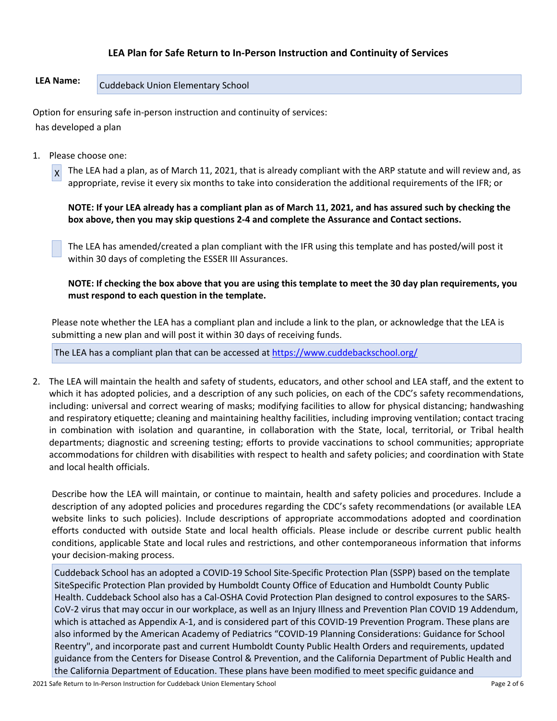### **LEA Plan for Safe Return to In-Person Instruction and Continuity of Services**

## **LEA Name:** Cuddeback Union Elementary School

Option for ensuring safe in-person instruction and continuity of services: has developed a plan

1. Please choose one:

 $\vert x \vert$ The LEA had a plan, as of March 11, 2021, that is already compliant with the ARP statute and will review and, as appropriate, revise it every six months to take into consideration the additional requirements of the IFR; or

NOTE: If your LEA already has a compliant plan as of March 11, 2021, and has assured such by checking the **box above, then you may skip questions 2-4 and complete the Assurance and Contact sections.**

The LEA has amended/created a plan compliant with the IFR using this template and has posted/will post it within 30 days of completing the ESSER III Assurances.

NOTE: If checking the box above that you are using this template to meet the 30 day plan requirements, you **must respond to each question in the template.**

Please note whether the LEA has a compliant plan and include a link to the plan, or acknowledge that the LEA is submitting a new plan and will post it within 30 days of receiving funds.

The LEA has a compliant plan that can be accessed at <https://www.cuddebackschool.org/>

2. The LEA will maintain the health and safety of students, educators, and other school and LEA staff, and the extent to which it has adopted policies, and a description of any such policies, on each of the CDC's safety recommendations, including: universal and correct wearing of masks; modifying facilities to allow for physical distancing; handwashing and respiratory etiquette; cleaning and maintaining healthy facilities, including improving ventilation; contact tracing in combination with isolation and quarantine, in collaboration with the State, local, territorial, or Tribal health departments; diagnostic and screening testing; efforts to provide vaccinations to school communities; appropriate accommodations for children with disabilities with respect to health and safety policies; and coordination with State and local health officials.

Describe how the LEA will maintain, or continue to maintain, health and safety policies and procedures. Include a description of any adopted policies and procedures regarding the CDC's safety recommendations (or available LEA website links to such policies). Include descriptions of appropriate accommodations adopted and coordination efforts conducted with outside State and local health officials. Please include or describe current public health conditions, applicable State and local rules and restrictions, and other contemporaneous information that informs your decision-making process.

Cuddeback School has an adopted a COVID-19 School Site-Specific Protection Plan (SSPP) based on the template SiteSpecific Protection Plan provided by Humboldt County Office of Education and Humboldt County Public Health. Cuddeback School also has a Cal-OSHA Covid Protection Plan designed to control exposures to the SARS-CoV-2 virus that may occur in our workplace, as well as an Injury Illness and Prevention Plan COVID 19 Addendum, which is attached as Appendix A-1, and is considered part of this COVID-19 Prevention Program. These plans are also informed by the American Academy of Pediatrics "COVID-19 Planning Considerations: Guidance for School Reentry", and incorporate past and current Humboldt County Public Health Orders and requirements, updated guidance from the Centers for Disease Control & Prevention, and the California Department of Public Health and the California Department of Education. These plans have been modified to meet specific guidance and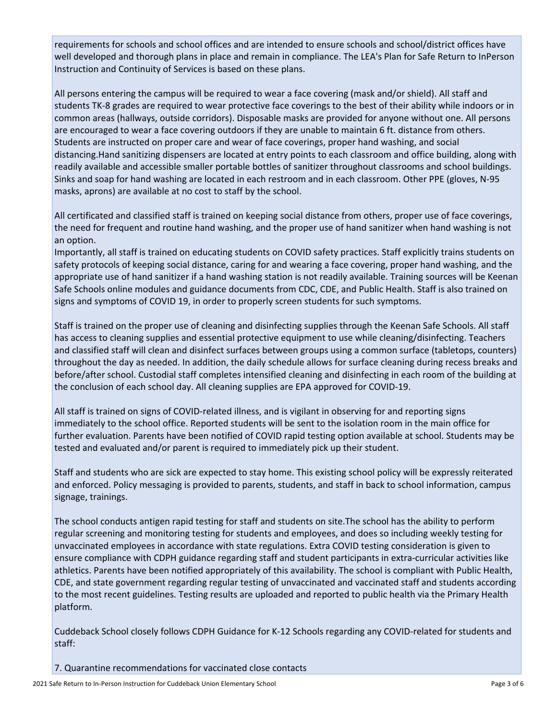requirements for schools and school offices and are intended to ensure schools and school/district offices have well developed and thorough plans in place and remain in compliance. The LEA's Plan for Safe Return to InPerson Instruction and Continuity of Services is based on these plans.

All persons entering the campus will be required to wear a face covering (mask and/or shield). All staff and students TK-8 grades are required to wear protective face coverings to the best of their ability while indoors or in common areas (hallways, outside corridors). Disposable masks are provided for anyone without one. All persons are encouraged to wear a face covering outdoors if they are unable to maintain 6 ft. distance from others. Students are instructed on proper care and wear of face coverings, proper hand washing, and social distancing.Hand sanitizing dispensers are located at entry points to each classroom and office building, along with readily available and accessible smaller portable bottles of sanitizer throughout classrooms and school buildings. Sinks and soap for hand washing are located in each restroom and in each classroom. Other PPE (gloves, N-95 masks, aprons) are available at no cost to staff by the school.

All certificated and classified staff is trained on keeping social distance from others, proper use of face coverings, the need for frequent and routine hand washing, and the proper use of hand sanitizer when hand washing is not an option.

Importantly, all staff is trained on educating students on COVID safety practices. Staff explicitly trains students on safety protocols of keeping social distance, caring for and wearing a face covering, proper hand washing, and the appropriate use of hand sanitizer if a hand washing station is not readily available. Training sources will be Keenan Safe Schools online modules and guidance documents from CDC, CDE, and Public Health. Staff is also trained on signs and symptoms of COVID 19, in order to properly screen students for such symptoms.

Staff is trained on the proper use of cleaning and disinfecting supplies through the Keenan Safe Schools. All staff has access to cleaning supplies and essential protective equipment to use while cleaning/disinfecting. Teachers and classified staff will clean and disinfect surfaces between groups using a common surface (tabletops, counters) throughout the day as needed. In addition, the daily schedule allows for surface cleaning during recess breaks and before/after school. Custodial staff completes intensified cleaning and disinfecting in each room of the building at the conclusion of each school day. All cleaning supplies are EPA approved for COVID-19.

All staff is trained on signs of COVID-related illness, and is vigilant in observing for and reporting signs immediately to the school office. Reported students will be sent to the isolation room in the main office for further evaluation. Parents have been notified of COVID rapid testing option available at school. Students may be tested and evaluated and/or parent is required to immediately pick up their student.

Staff and students who are sick are expected to stay home. This existing school policy will be expressly reiterated and enforced. Policy messaging is provided to parents, students, and staff in back to school information, campus signage, trainings.

The school conducts antigen rapid testing for staff and students on site.The school has the ability to perform regular screening and monitoring testing for students and employees, and does so including weekly testing for unvaccinated employees in accordance with state regulations. Extra COVID testing consideration is given to ensure compliance with CDPH guidance regarding staff and student participants in extra-curricular activities like athletics. Parents have been notified appropriately of this availability. The school is compliant with Public Health, CDE, and state government regarding regular testing of unvaccinated and vaccinated staff and students according to the most recent guidelines. Testing results are uploaded and reported to public health via the Primary Health platform.

Cuddeback School closely follows CDPH Guidance for K-12 Schools regarding any COVID-related for students and staff:

7. Quarantine recommendations for vaccinated close contacts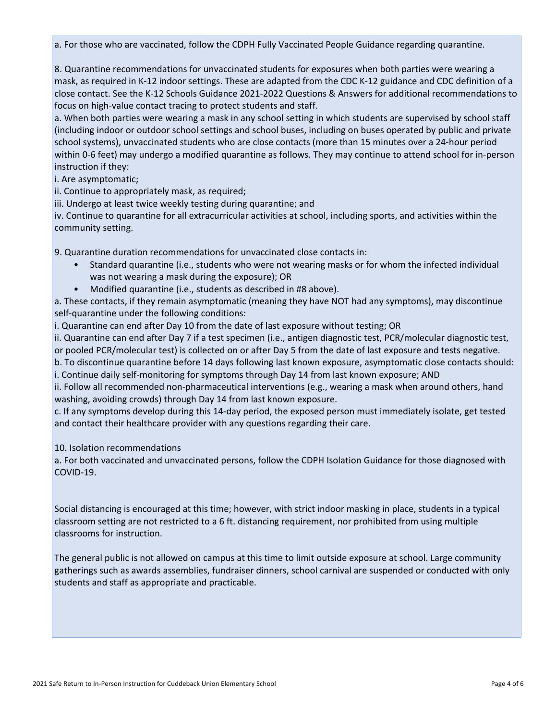a. For those who are vaccinated, follow the CDPH Fully Vaccinated People Guidance regarding quarantine.

8. Quarantine recommendations for unvaccinated students for exposures when both parties were wearing a mask, as required in K-12 indoor settings. These are adapted from the CDC K-12 guidance and CDC definition of a close contact. See the K-12 Schools Guidance 2021-2022 Questions & Answers for additional recommendations to focus on high-value contact tracing to protect students and staff.

a. When both parties were wearing a mask in any school setting in which students are supervised by school staff (including indoor or outdoor school settings and school buses, including on buses operated by public and private school systems), unvaccinated students who are close contacts (more than 15 minutes over a 24-hour period within 0-6 feet) may undergo a modified quarantine as follows. They may continue to attend school for in-person instruction if they:

i. Are asymptomatic;

ii. Continue to appropriately mask, as required;

iii. Undergo at least twice weekly testing during quarantine; and

iv. Continue to quarantine for all extracurricular activities at school, including sports, and activities within the community setting.

9. Quarantine duration recommendations for unvaccinated close contacts in:

- Standard quarantine (i.e., students who were not wearing masks or for whom the infected individual was not wearing a mask during the exposure); OR
- Modified quarantine (i.e., students as described in #8 above).

a. These contacts, if they remain asymptomatic (meaning they have NOT had any symptoms), may discontinue self-quarantine under the following conditions:

i. Quarantine can end after Day 10 from the date of last exposure without testing; OR

ii. Quarantine can end after Day 7 if a test specimen (i.e., antigen diagnostic test, PCR/molecular diagnostic test,

or pooled PCR/molecular test) is collected on or after Day 5 from the date of last exposure and tests negative. b. To discontinue quarantine before 14 days following last known exposure, asymptomatic close contacts should:

i. Continue daily self-monitoring for symptoms through Day 14 from last known exposure; AND

ii. Follow all recommended non-pharmaceutical interventions (e.g., wearing a mask when around others, hand washing, avoiding crowds) through Day 14 from last known exposure.

c. If any symptoms develop during this 14-day period, the exposed person must immediately isolate, get tested and contact their healthcare provider with any questions regarding their care.

10. Isolation recommendations

a. For both vaccinated and unvaccinated persons, follow the CDPH Isolation Guidance for those diagnosed with COVID-19.

Social distancing is encouraged at this time; however, with strict indoor masking in place, students in a typical classroom setting are not restricted to a 6 ft. distancing requirement, nor prohibited from using multiple classrooms for instruction.

The general public is not allowed on campus at this time to limit outside exposure at school. Large community gatherings such as awards assemblies, fundraiser dinners, school carnival are suspended or conducted with only students and staff as appropriate and practicable.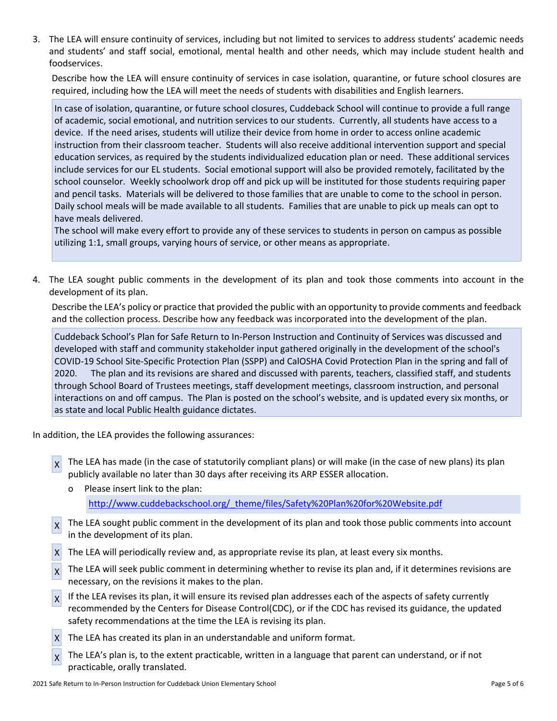3. The LEA will ensure continuity of services, including but not limited to services to address students' academic needs and students' and staff social, emotional, mental health and other needs, which may include student health and foodservices.

Describe how the LEA will ensure continuity of services in case isolation, quarantine, or future school closures are required, including how the LEA will meet the needs of students with disabilities and English learners.

In case of isolation, quarantine, or future school closures, Cuddeback School will continue to provide a full range of academic, social emotional, and nutrition services to our students. Currently, all students have access to a device. If the need arises, students will utilize their device from home in order to access online academic instruction from their classroom teacher. Students will also receive additional intervention support and special education services, as required by the students individualized education plan or need. These additional services include services for our EL students. Social emotional support will also be provided remotely, facilitated by the school counselor. Weekly schoolwork drop off and pick up will be instituted for those students requiring paper and pencil tasks. Materials will be delivered to those families that are unable to come to the school in person. Daily school meals will be made available to all students. Families that are unable to pick up meals can opt to have meals delivered.

The school will make every effort to provide any of these services to students in person on campus as possible utilizing 1:1, small groups, varying hours of service, or other means as appropriate.

4. The LEA sought public comments in the development of its plan and took those comments into account in the development of its plan.

Describe the LEA's policy or practice that provided the public with an opportunity to provide comments and feedback and the collection process. Describe how any feedback was incorporated into the development of the plan.

Cuddeback School's Plan for Safe Return to In-Person Instruction and Continuity of Services was discussed and developed with staff and community stakeholder input gathered originally in the development of the school's COVID-19 School Site-Specific Protection Plan (SSPP) and CalOSHA Covid Protection Plan in the spring and fall of 2020. The plan and its revisions are shared and discussed with parents, teachers, classified staff, and students through School Board of Trustees meetings, staff development meetings, classroom instruction, and personal interactions on and off campus. The Plan is posted on the school's website, and is updated every six months, or as state and local Public Health guidance dictates.

In addition, the LEA provides the following assurances:

- $\chi$  The LEA has made (in the case of statutorily compliant plans) or will make (in the case of new plans) its plan publicly available no later than 30 days after receiving its ARP ESSER allocation.
	- o Please insert link to the plan: [http://www.cuddebackschool.org/\\_theme/files/Safety%20Plan%20for%20Website.pdf](http://www.cuddebackschool.org/_theme/files/Safety%20Plan%20for%20Website.pdf)
- X The LEA sought public comment in the development of its plan and took those public comments into account in the development of its plan.
- X The LEA will periodically review and, as appropriate revise its plan, at least every six months.
- $\chi$  The LEA will seek public comment in determining whether to revise its plan and, if it determines revisions are necessary, on the revisions it makes to the plan.
- X If the LEA revises its plan, it will ensure its revised plan addresses each of the aspects of safety currently recommended by the Centers for Disease Control(CDC), or if the CDC has revised its guidance, the updated safety recommendations at the time the LEA is revising its plan.
- $X$  The LEA has created its plan in an understandable and uniform format.
- X The LEA's plan is, to the extent practicable, written in a language that parent can understand, or if not practicable, orally translated.